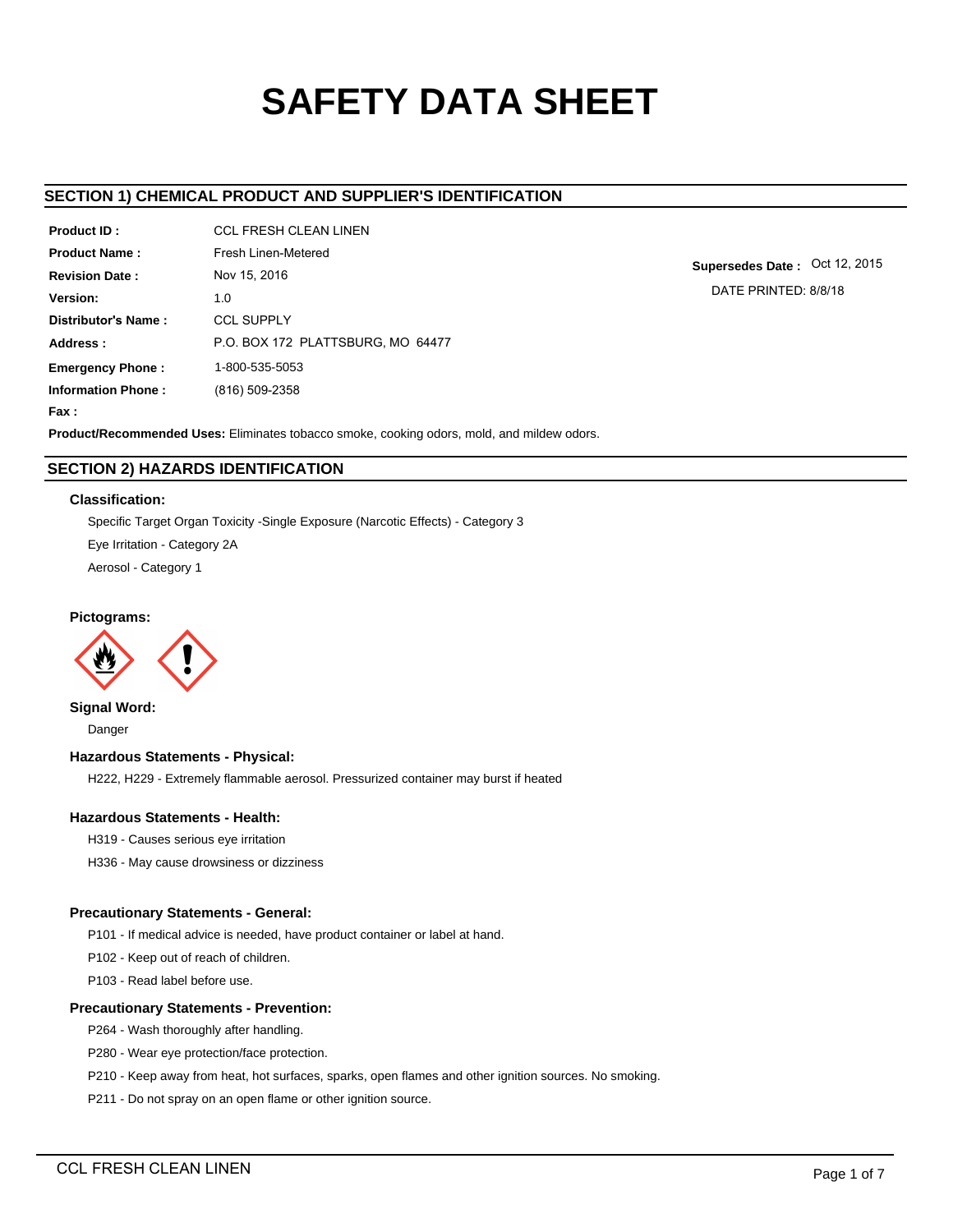# **SAFETY DATA SHEET**

# **SECTION 1) CHEMICAL PRODUCT AND SUPPLIER'S IDENTIFICATION**

| Product ID:               | <b>CCL FRESH CLEAN LINEN</b>      |
|---------------------------|-----------------------------------|
| <b>Product Name:</b>      | Fresh Linen-Metered               |
| <b>Revision Date:</b>     | Nov 15, 2016                      |
| Version:                  | 1.0                               |
| Distributor's Name:       | <b>CCL SUPPLY</b>                 |
| Address:                  | P.O. BOX 172 PLATTSBURG, MO 64477 |
| <b>Emergency Phone:</b>   | 1-800-535-5053                    |
| <b>Information Phone:</b> | (816) 509-2358                    |
| <b>Fax:</b>               |                                   |

**Supersedes Date :** Oct 12, 2015 DATE PRINTED: 8/8/18

**Product/Recommended Uses:** Eliminates tobacco smoke, cooking odors, mold, and mildew odors.

# **SECTION 2) HAZARDS IDENTIFICATION**

# **Classification:**

Specific Target Organ Toxicity -Single Exposure (Narcotic Effects) - Category 3 Eye Irritation - Category 2A Aerosol - Category 1

# **Pictograms:**



**Signal Word:** Danger

# **Hazardous Statements - Physical:**

H222, H229 - Extremely flammable aerosol. Pressurized container may burst if heated

# **Hazardous Statements - Health:**

- H319 Causes serious eye irritation
- H336 May cause drowsiness or dizziness

# **Precautionary Statements - General:**

P101 - If medical advice is needed, have product container or label at hand.

P102 - Keep out of reach of children.

P103 - Read label before use.

# **Precautionary Statements - Prevention:**

P264 - Wash thoroughly after handling.

P280 - Wear eye protection/face protection.

P210 - Keep away from heat, hot surfaces, sparks, open flames and other ignition sources. No smoking.

P211 - Do not spray on an open flame or other ignition source.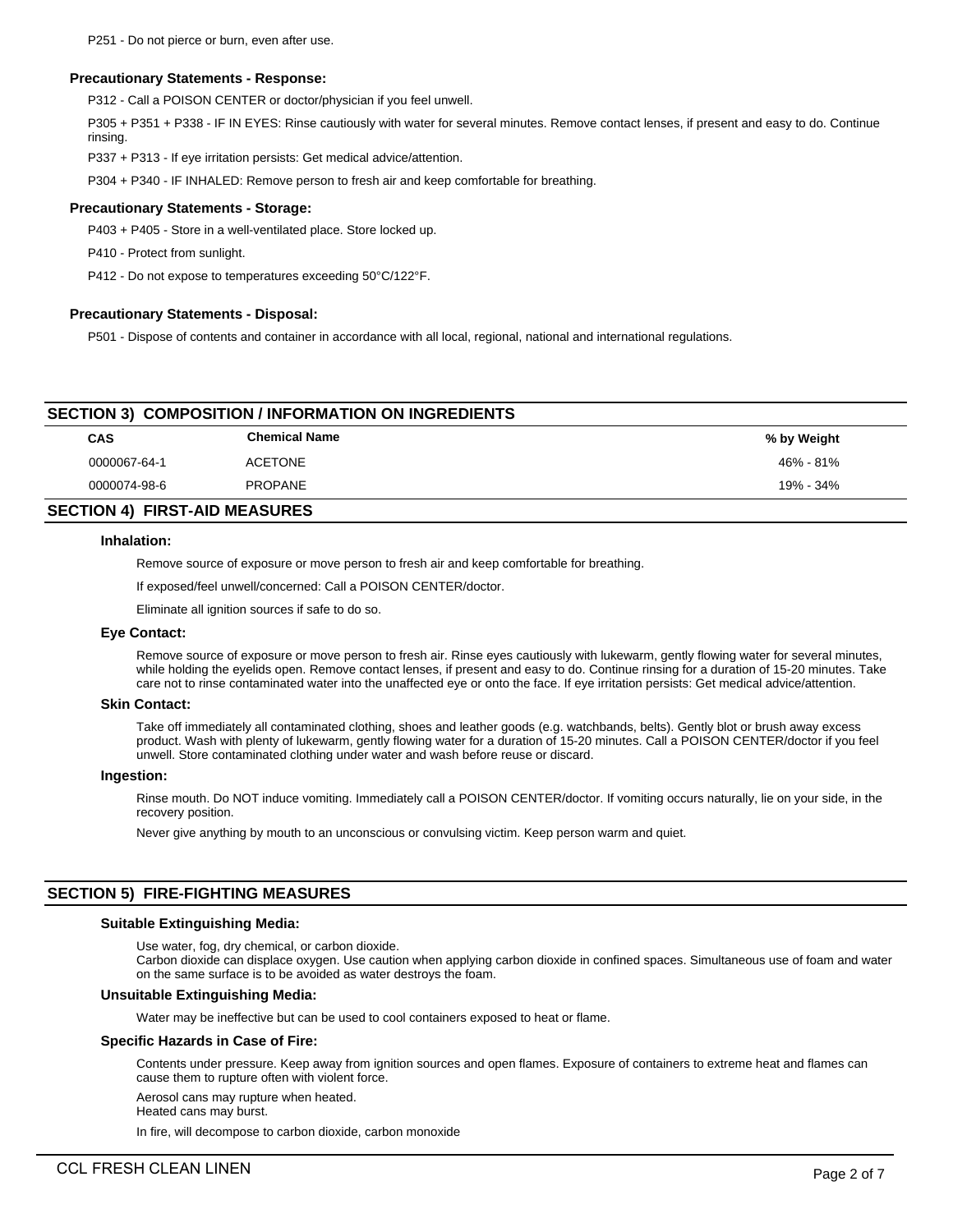#### **Precautionary Statements - Response:**

P312 - Call a POISON CENTER or doctor/physician if you feel unwell.

P305 + P351 + P338 - IF IN EYES: Rinse cautiously with water for several minutes. Remove contact lenses, if present and easy to do. Continue rinsing.

P337 + P313 - If eye irritation persists: Get medical advice/attention.

P304 + P340 - IF INHALED: Remove person to fresh air and keep comfortable for breathing.

#### **Precautionary Statements - Storage:**

P403 + P405 - Store in a well-ventilated place. Store locked up.

P410 - Protect from sunlight.

P412 - Do not expose to temperatures exceeding 50°C/122°F.

#### **Precautionary Statements - Disposal:**

P501 - Dispose of contents and container in accordance with all local, regional, national and international regulations.

# **SECTION 3) COMPOSITION / INFORMATION ON INGREDIENTS**

| CAS          | <b>Chemical Name</b> | % by Weight |
|--------------|----------------------|-------------|
| 0000067-64-1 | <b>ACETONE</b>       | 46% - 81%   |
| 0000074-98-6 | <b>PROPANE</b>       | 19% - 34%   |
|              |                      |             |

# **SECTION 4) FIRST-AID MEASURES**

#### **Inhalation:**

Remove source of exposure or move person to fresh air and keep comfortable for breathing.

If exposed/feel unwell/concerned: Call a POISON CENTER/doctor.

Eliminate all ignition sources if safe to do so.

### **Eye Contact:**

Remove source of exposure or move person to fresh air. Rinse eyes cautiously with lukewarm, gently flowing water for several minutes, while holding the eyelids open. Remove contact lenses, if present and easy to do. Continue rinsing for a duration of 15-20 minutes. Take care not to rinse contaminated water into the unaffected eye or onto the face. If eye irritation persists: Get medical advice/attention.

#### **Skin Contact:**

Take off immediately all contaminated clothing, shoes and leather goods (e.g. watchbands, belts). Gently blot or brush away excess product. Wash with plenty of lukewarm, gently flowing water for a duration of 15-20 minutes. Call a POISON CENTER/doctor if you feel unwell. Store contaminated clothing under water and wash before reuse or discard.

#### **Ingestion:**

Rinse mouth. Do NOT induce vomiting. Immediately call a POISON CENTER/doctor. If vomiting occurs naturally, lie on your side, in the recovery position.

Never give anything by mouth to an unconscious or convulsing victim. Keep person warm and quiet.

## **SECTION 5) FIRE-FIGHTING MEASURES**

#### **Suitable Extinguishing Media:**

Use water, fog, dry chemical, or carbon dioxide.

Carbon dioxide can displace oxygen. Use caution when applying carbon dioxide in confined spaces. Simultaneous use of foam and water on the same surface is to be avoided as water destroys the foam.

# **Unsuitable Extinguishing Media:**

Water may be ineffective but can be used to cool containers exposed to heat or flame.

#### **Specific Hazards in Case of Fire:**

Contents under pressure. Keep away from ignition sources and open flames. Exposure of containers to extreme heat and flames can cause them to rupture often with violent force.

Aerosol cans may rupture when heated.

Heated cans may burst.

In fire, will decompose to carbon dioxide, carbon monoxide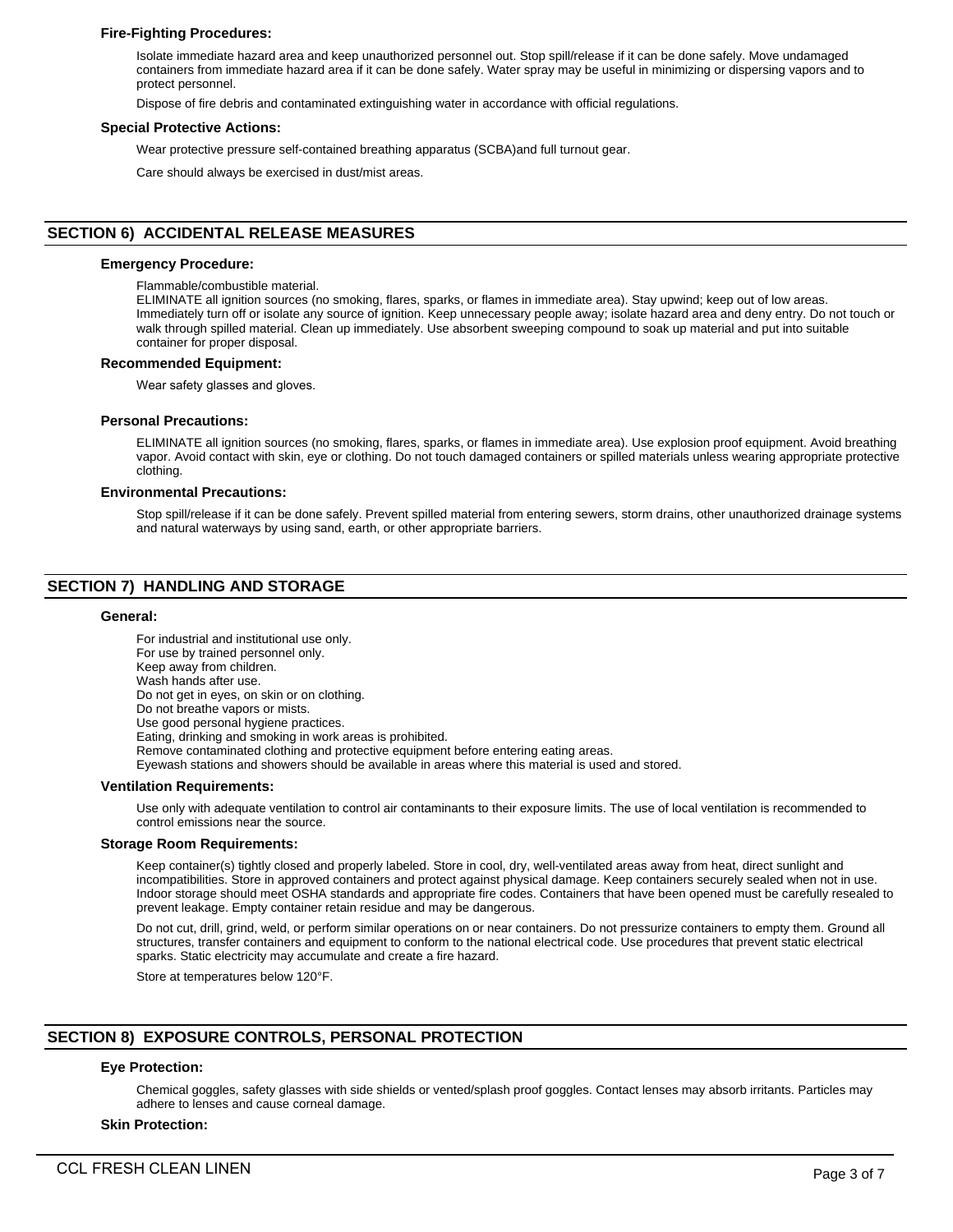# **Fire-Fighting Procedures:**

Isolate immediate hazard area and keep unauthorized personnel out. Stop spill/release if it can be done safely. Move undamaged containers from immediate hazard area if it can be done safely. Water spray may be useful in minimizing or dispersing vapors and to protect personnel.

Dispose of fire debris and contaminated extinguishing water in accordance with official regulations.

#### **Special Protective Actions:**

Wear protective pressure self-contained breathing apparatus (SCBA)and full turnout gear.

Care should always be exercised in dust/mist areas.

# **SECTION 6) ACCIDENTAL RELEASE MEASURES**

#### **Emergency Procedure:**

Flammable/combustible material.

ELIMINATE all ignition sources (no smoking, flares, sparks, or flames in immediate area). Stay upwind; keep out of low areas. Immediately turn off or isolate any source of ignition. Keep unnecessary people away; isolate hazard area and deny entry. Do not touch or walk through spilled material. Clean up immediately. Use absorbent sweeping compound to soak up material and put into suitable container for proper disposal.

#### **Recommended Equipment:**

Wear safety glasses and gloves.

#### **Personal Precautions:**

ELIMINATE all ignition sources (no smoking, flares, sparks, or flames in immediate area). Use explosion proof equipment. Avoid breathing vapor. Avoid contact with skin, eye or clothing. Do not touch damaged containers or spilled materials unless wearing appropriate protective clothing.

#### **Environmental Precautions:**

Stop spill/release if it can be done safely. Prevent spilled material from entering sewers, storm drains, other unauthorized drainage systems and natural waterways by using sand, earth, or other appropriate barriers.

# **SECTION 7) HANDLING AND STORAGE**

#### **General:**

For industrial and institutional use only. For use by trained personnel only. Keep away from children. Wash hands after use. Do not get in eyes, on skin or on clothing. Do not breathe vapors or mists. Use good personal hygiene practices. Eating, drinking and smoking in work areas is prohibited. Remove contaminated clothing and protective equipment before entering eating areas. Eyewash stations and showers should be available in areas where this material is used and stored. **Ventilation Requirements:**

Use only with adequate ventilation to control air contaminants to their exposure limits. The use of local ventilation is recommended to control emissions near the source.

#### **Storage Room Requirements:**

Keep container(s) tightly closed and properly labeled. Store in cool, dry, well-ventilated areas away from heat, direct sunlight and incompatibilities. Store in approved containers and protect against physical damage. Keep containers securely sealed when not in use. Indoor storage should meet OSHA standards and appropriate fire codes. Containers that have been opened must be carefully resealed to prevent leakage. Empty container retain residue and may be dangerous.

Do not cut, drill, grind, weld, or perform similar operations on or near containers. Do not pressurize containers to empty them. Ground all structures, transfer containers and equipment to conform to the national electrical code. Use procedures that prevent static electrical sparks. Static electricity may accumulate and create a fire hazard.

Store at temperatures below 120°F.

# **SECTION 8) EXPOSURE CONTROLS, PERSONAL PROTECTION**

# **Eye Protection:**

Chemical goggles, safety glasses with side shields or vented/splash proof goggles. Contact lenses may absorb irritants. Particles may adhere to lenses and cause corneal damage.

#### **Skin Protection:**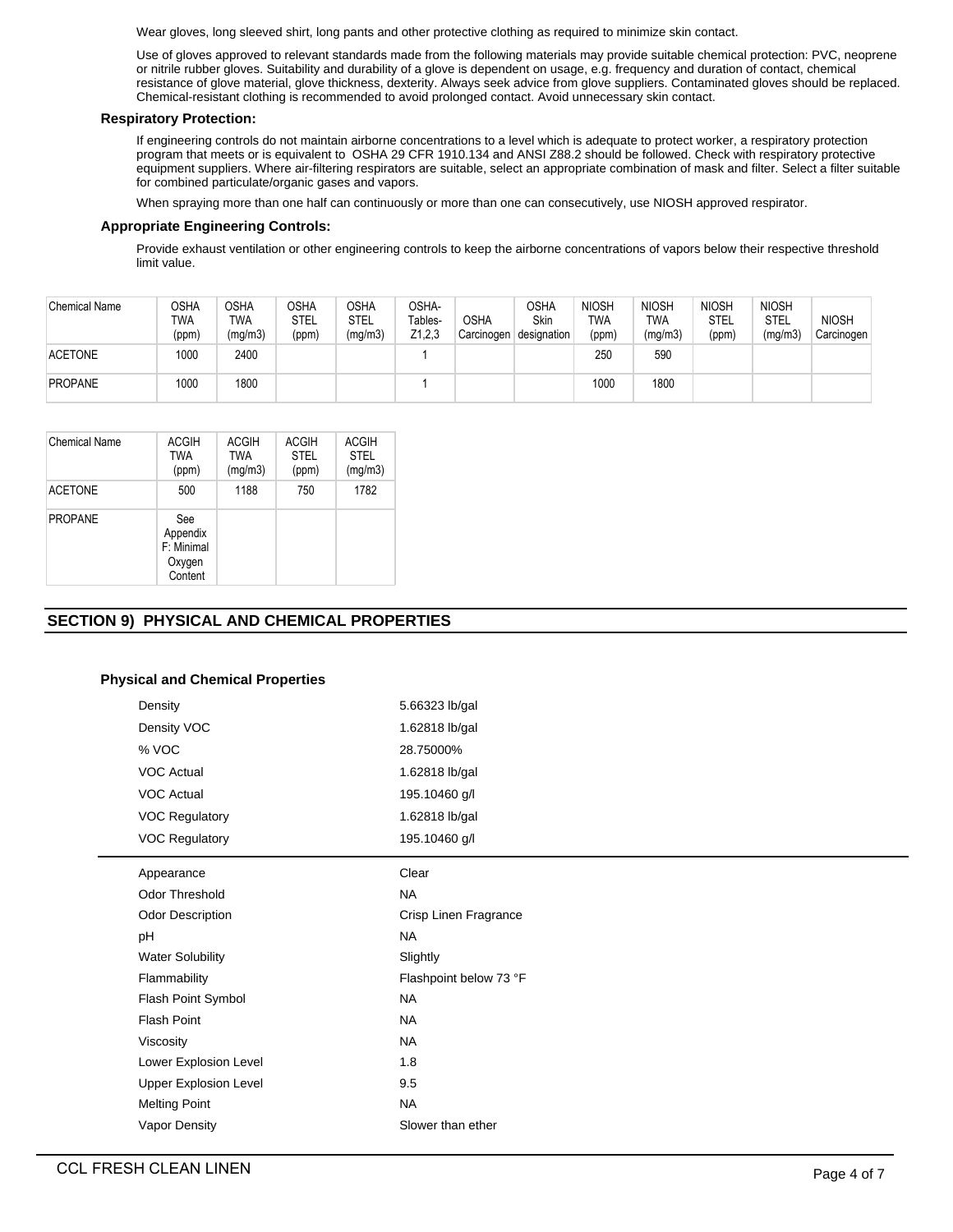Wear gloves, long sleeved shirt, long pants and other protective clothing as required to minimize skin contact.

Use of gloves approved to relevant standards made from the following materials may provide suitable chemical protection: PVC, neoprene or nitrile rubber gloves. Suitability and durability of a glove is dependent on usage, e.g. frequency and duration of contact, chemical resistance of glove material, glove thickness, dexterity. Always seek advice from glove suppliers. Contaminated gloves should be replaced. Chemical-resistant clothing is recommended to avoid prolonged contact. Avoid unnecessary skin contact.

# **Respiratory Protection:**

If engineering controls do not maintain airborne concentrations to a level which is adequate to protect worker, a respiratory protection program that meets or is equivalent to OSHA 29 CFR 1910.134 and ANSI Z88.2 should be followed. Check with respiratory protective equipment suppliers. Where air-filtering respirators are suitable, select an appropriate combination of mask and filter. Select a filter suitable for combined particulate/organic gases and vapors.

When spraying more than one half can continuously or more than one can consecutively, use NIOSH approved respirator.

# **Appropriate Engineering Controls:**

Provide exhaust ventilation or other engineering controls to keep the airborne concentrations of vapors below their respective threshold limit value.

| <b>Chemical Name</b> | OSHA<br>TWA<br>(ppm) | OSHA<br>TWA<br>(mg/m3) | <b>OSHA</b><br><b>STEL</b><br>(ppm) | OSHA<br>STEL<br>(mg/m3) | OSHA-<br>Tables-<br>Z1,2,3 | <b>OSHA</b><br>Carcinogen | OSHA<br>Skin<br>designation | <b>NIOSH</b><br>TWA<br>(ppm) | <b>NIOSH</b><br>TWA<br>(mg/m3) | <b>NIOSH</b><br>STEL<br>(ppm) | <b>NIOSH</b><br><b>STEL</b><br>(mg/m3) | <b>NIOSH</b><br>Carcinogen |
|----------------------|----------------------|------------------------|-------------------------------------|-------------------------|----------------------------|---------------------------|-----------------------------|------------------------------|--------------------------------|-------------------------------|----------------------------------------|----------------------------|
| <b>ACETONE</b>       | 1000                 | 2400                   |                                     |                         |                            |                           |                             | 250                          | 590                            |                               |                                        |                            |
| <b>PROPANE</b>       | 1000                 | 1800                   |                                     |                         |                            |                           |                             | 1000                         | 1800                           |                               |                                        |                            |

| Chemical Name  | ACGIH<br>TWA<br>(ppm)                              | <b>ACGIH</b><br><b>TWA</b><br>(mg/m3) | <b>ACGIH</b><br><b>STEL</b><br>(ppm) | <b>ACGIH</b><br><b>STEL</b><br>(mg/m3) |
|----------------|----------------------------------------------------|---------------------------------------|--------------------------------------|----------------------------------------|
| <b>ACETONE</b> | 500                                                | 1188                                  | 750                                  | 1782                                   |
| <b>PROPANE</b> | See<br>Appendix<br>F: Minimal<br>Oxygen<br>Content |                                       |                                      |                                        |

# **SECTION 9) PHYSICAL AND CHEMICAL PROPERTIES**

# **Physical and Chemical Properties**

| Density                      | 5.66323 lb/gal         |
|------------------------------|------------------------|
| Density VOC                  | 1.62818 lb/gal         |
| % VOC                        | 28.75000%              |
| <b>VOC Actual</b>            | 1.62818 lb/gal         |
| <b>VOC Actual</b>            | 195.10460 g/l          |
| <b>VOC Regulatory</b>        | 1.62818 lb/gal         |
| <b>VOC Regulatory</b>        | 195.10460 g/l          |
| Appearance                   | Clear                  |
| <b>Odor Threshold</b>        | <b>NA</b>              |
| Odor Description             | Crisp Linen Fragrance  |
| pH                           | <b>NA</b>              |
| <b>Water Solubility</b>      | Slightly               |
| Flammability                 | Flashpoint below 73 °F |
| Flash Point Symbol           | <b>NA</b>              |
| <b>Flash Point</b>           | <b>NA</b>              |
| Viscosity                    | <b>NA</b>              |
| Lower Explosion Level        | 1.8                    |
| <b>Upper Explosion Level</b> | 9.5                    |
| <b>Melting Point</b>         | <b>NA</b>              |
| Vapor Density                | Slower than ether      |
|                              |                        |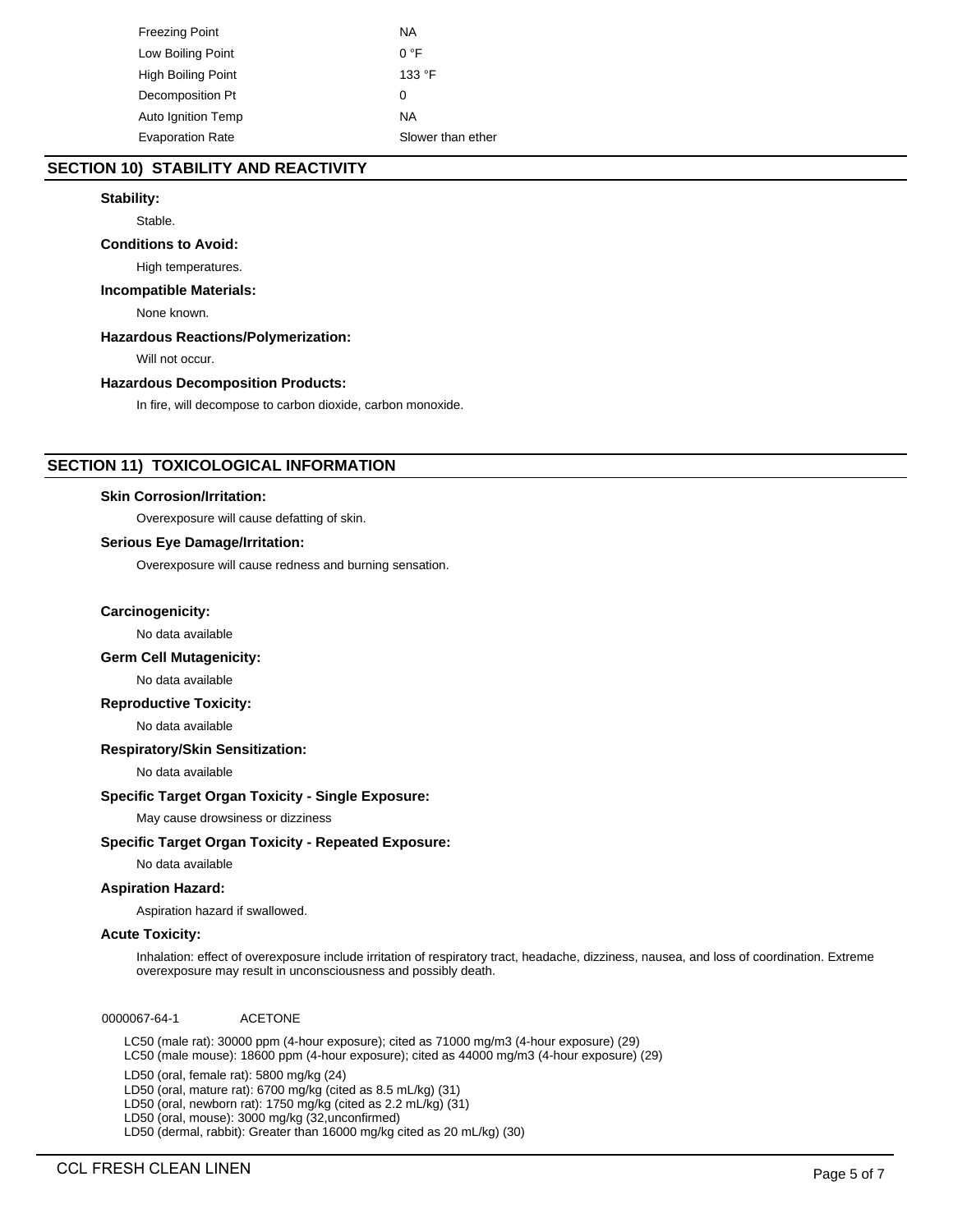| Freezing Point          | ΝA                |
|-------------------------|-------------------|
| Low Boiling Point       | $0^{\circ}$ F     |
| High Boiling Point      | 133 °F            |
| Decomposition Pt        | 0                 |
| Auto Ignition Temp      | ΝA                |
| <b>Evaporation Rate</b> | Slower than ether |

# **SECTION 10) STABILITY AND REACTIVITY**

# **Stability:**

Stable.

# **Conditions to Avoid:**

High temperatures.

# **Incompatible Materials:**

None known.

## **Hazardous Reactions/Polymerization:**

Will not occur.

# **Hazardous Decomposition Products:**

In fire, will decompose to carbon dioxide, carbon monoxide.

# **SECTION 11) TOXICOLOGICAL INFORMATION**

## **Skin Corrosion/Irritation:**

Overexposure will cause defatting of skin.

# **Serious Eye Damage/Irritation:**

Overexposure will cause redness and burning sensation.

## **Carcinogenicity:**

No data available

# **Germ Cell Mutagenicity:**

No data available

## **Reproductive Toxicity:**

No data available

## **Respiratory/Skin Sensitization:**

No data available

# **Specific Target Organ Toxicity - Single Exposure:**

May cause drowsiness or dizziness

# **Specific Target Organ Toxicity - Repeated Exposure:**

No data available

## **Aspiration Hazard:**

Aspiration hazard if swallowed.

## **Acute Toxicity:**

Inhalation: effect of overexposure include irritation of respiratory tract, headache, dizziness, nausea, and loss of coordination. Extreme overexposure may result in unconsciousness and possibly death.

0000067-64-1 ACETONE

LC50 (male rat): 30000 ppm (4-hour exposure); cited as 71000 mg/m3 (4-hour exposure) (29) LC50 (male mouse): 18600 ppm (4-hour exposure); cited as 44000 mg/m3 (4-hour exposure) (29)

LD50 (oral, female rat): 5800 mg/kg (24)

LD50 (oral, mature rat): 6700 mg/kg (cited as 8.5 mL/kg) (31)

LD50 (oral, newborn rat): 1750 mg/kg (cited as 2.2 mL/kg) (31)

LD50 (oral, mouse): 3000 mg/kg (32,unconfirmed)

LD50 (dermal, rabbit): Greater than 16000 mg/kg cited as 20 mL/kg) (30)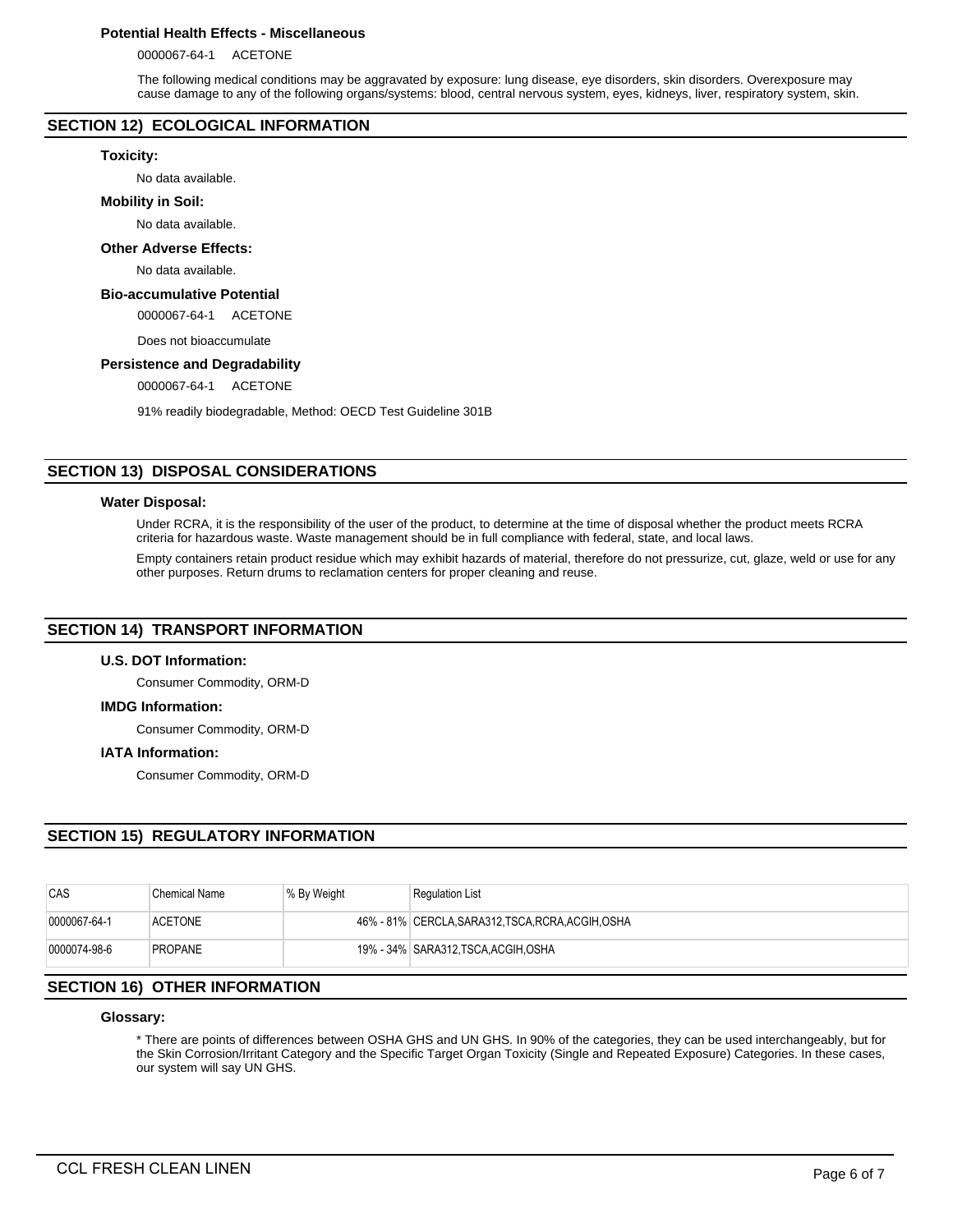# **Potential Health Effects - Miscellaneous**

0000067-64-1 ACETONE

The following medical conditions may be aggravated by exposure: lung disease, eye disorders, skin disorders. Overexposure may cause damage to any of the following organs/systems: blood, central nervous system, eyes, kidneys, liver, respiratory system, skin.

# **SECTION 12) ECOLOGICAL INFORMATION**

#### **Toxicity:**

No data available.

#### **Mobility in Soil:**

No data available.

# **Other Adverse Effects:**

No data available.

# **Bio-accumulative Potential**

0000067-64-1 ACETONE

Does not bioaccumulate

### **Persistence and Degradability**

0000067-64-1 ACETONE

91% readily biodegradable, Method: OECD Test Guideline 301B

# **SECTION 13) DISPOSAL CONSIDERATIONS**

#### **Water Disposal:**

Under RCRA, it is the responsibility of the user of the product, to determine at the time of disposal whether the product meets RCRA criteria for hazardous waste. Waste management should be in full compliance with federal, state, and local laws.

Empty containers retain product residue which may exhibit hazards of material, therefore do not pressurize, cut, glaze, weld or use for any other purposes. Return drums to reclamation centers for proper cleaning and reuse.

## **SECTION 14) TRANSPORT INFORMATION**

## **U.S. DOT Information:**

Consumer Commodity, ORM-D

## **IMDG Information:**

Consumer Commodity, ORM-D

### **IATA Information:**

Consumer Commodity, ORM-D

# **SECTION 15) REGULATORY INFORMATION**

| CAS          | Chemical Name  | % By Weight | <b>Regulation List</b>                             |
|--------------|----------------|-------------|----------------------------------------------------|
| 0000067-64-1 | <b>ACETONE</b> |             | 46% - 81% CERCLA, SARA312, TSCA, RCRA, ACGIH, OSHA |
| 0000074-98-6 | <b>PROPANE</b> |             | 19% - 34% SARA312, TSCA, ACGIH, OSHA               |

# **SECTION 16) OTHER INFORMATION**

### **Glossary:**

\* There are points of differences between OSHA GHS and UN GHS. In 90% of the categories, they can be used interchangeably, but for the Skin Corrosion/Irritant Category and the Specific Target Organ Toxicity (Single and Repeated Exposure) Categories. In these cases, our system will say UN GHS.